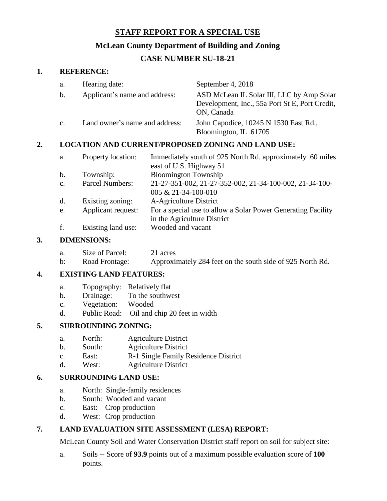# **STAFF REPORT FOR A SPECIAL USE**

# **McLean County Department of Building and Zoning**

# **CASE NUMBER SU-18-21**

#### **1. REFERENCE:**

| a.             | Hearing date:                  | September 4, 2018                                                                                         |
|----------------|--------------------------------|-----------------------------------------------------------------------------------------------------------|
| b.             | Applicant's name and address:  | ASD McLean IL Solar III, LLC by Amp Solar<br>Development, Inc., 55a Port St E, Port Credit,<br>ON, Canada |
| $\mathbf{C}$ . | Land owner's name and address: | John Capodice, 10245 N 1530 East Rd.,<br>Bloomington, IL 61705                                            |

## **2. LOCATION AND CURRENT/PROPOSED ZONING AND LAND USE:**

| a.             | Property location: | Immediately south of 925 North Rd. approximately .60 miles   |
|----------------|--------------------|--------------------------------------------------------------|
|                |                    | east of U.S. Highway 51                                      |
| $\mathbf b$ .  | Township:          | <b>Bloomington Township</b>                                  |
| C <sub>1</sub> | Parcel Numbers:    | 21-27-351-002, 21-27-352-002, 21-34-100-002, 21-34-100-      |
|                |                    | 005 & 21-34-100-010                                          |
| d.             | Existing zoning:   | A-Agriculture District                                       |
| e.             | Applicant request: | For a special use to allow a Solar Power Generating Facility |
|                |                    | in the Agriculture District                                  |
| f.             | Existing land use: | Wooded and vacant                                            |
|                |                    |                                                              |

## **3. DIMENSIONS:**

|                | Size of Parcel: | 21 acres                                                  |
|----------------|-----------------|-----------------------------------------------------------|
| $\mathbf{b}$ : | Road Frontage:  | Approximately 284 feet on the south side of 925 North Rd. |

#### **4. EXISTING LAND FEATURES:**

- a. Topography: Relatively flat
- b. Drainage: To the southwest
- c. Vegetation: Wooded
- d. Public Road: Oil and chip 20 feet in width

#### **5. SURROUNDING ZONING:**

- a. North: Agriculture District
- b. South: Agriculture District
- c. East: R-1 Single Family Residence District
- d. West: Agriculture District

# **6. SURROUNDING LAND USE:**

- a. North: Single-family residences
- b. South: Wooded and vacant
- c. East: Crop production
- d. West: Crop production

# **7. LAND EVALUATION SITE ASSESSMENT (LESA) REPORT:**

McLean County Soil and Water Conservation District staff report on soil for subject site:

a. Soils -- Score of **93.9** points out of a maximum possible evaluation score of **100** points.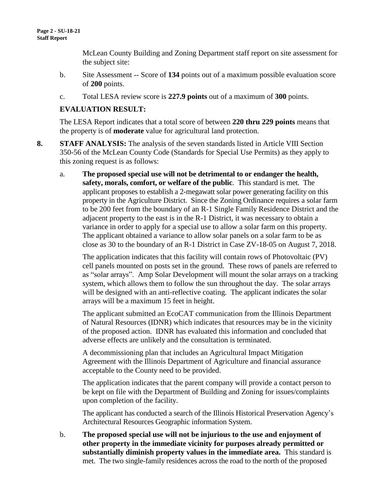McLean County Building and Zoning Department staff report on site assessment for the subject site:

- b. Site Assessment -- Score of **134** points out of a maximum possible evaluation score of **200** points.
- c. Total LESA review score is **227.9 points** out of a maximum of **300** points.

# **EVALUATION RESULT:**

The LESA Report indicates that a total score of between **220 thru 229 points** means that the property is of **moderate** value for agricultural land protection.

- **8. STAFF ANALYSIS:** The analysis of the seven standards listed in Article VIII Section 350-56 of the McLean County Code (Standards for Special Use Permits) as they apply to this zoning request is as follows:
	- a. **The proposed special use will not be detrimental to or endanger the health, safety, morals, comfort, or welfare of the public**. This standard is met. The applicant proposes to establish a 2-megawatt solar power generating facility on this property in the Agriculture District. Since the Zoning Ordinance requires a solar farm to be 200 feet from the boundary of an R-1 Single Family Residence District and the adjacent property to the east is in the R-1 District, it was necessary to obtain a variance in order to apply for a special use to allow a solar farm on this property. The applicant obtained a variance to allow solar panels on a solar farm to be as close as 30 to the boundary of an R-1 District in Case ZV-18-05 on August 7, 2018.

The application indicates that this facility will contain rows of Photovoltaic (PV) cell panels mounted on posts set in the ground. These rows of panels are referred to as "solar arrays". Amp Solar Development will mount the solar arrays on a tracking system, which allows them to follow the sun throughout the day. The solar arrays will be designed with an anti-reflective coating. The applicant indicates the solar arrays will be a maximum 15 feet in height.

The applicant submitted an EcoCAT communication from the Illinois Department of Natural Resources (IDNR) which indicates that resources may be in the vicinity of the proposed action. IDNR has evaluated this information and concluded that adverse effects are unlikely and the consultation is terminated.

A decommissioning plan that includes an Agricultural Impact Mitigation Agreement with the Illinois Department of Agriculture and financial assurance acceptable to the County need to be provided.

The application indicates that the parent company will provide a contact person to be kept on file with the Department of Building and Zoning for issues/complaints upon completion of the facility.

The applicant has conducted a search of the Illinois Historical Preservation Agency's Architectural Resources Geographic information System.

b. **The proposed special use will not be injurious to the use and enjoyment of other property in the immediate vicinity for purposes already permitted or substantially diminish property values in the immediate area.** This standard is met. The two single-family residences across the road to the north of the proposed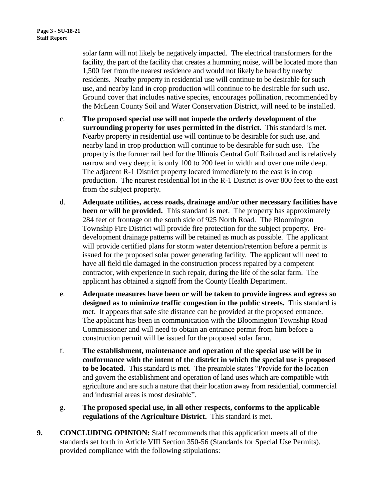solar farm will not likely be negatively impacted. The electrical transformers for the facility, the part of the facility that creates a humming noise, will be located more than 1,500 feet from the nearest residence and would not likely be heard by nearby residents. Nearby property in residential use will continue to be desirable for such use, and nearby land in crop production will continue to be desirable for such use. Ground cover that includes native species, encourages pollination, recommended by the McLean County Soil and Water Conservation District, will need to be installed.

- c. **The proposed special use will not impede the orderly development of the surrounding property for uses permitted in the district.** This standard is met. Nearby property in residential use will continue to be desirable for such use, and nearby land in crop production will continue to be desirable for such use. The property is the former rail bed for the Illinois Central Gulf Railroad and is relatively narrow and very deep; it is only 100 to 200 feet in width and over one mile deep. The adjacent R-1 District property located immediately to the east is in crop production. The nearest residential lot in the R-1 District is over 800 feet to the east from the subject property.
- d. **Adequate utilities, access roads, drainage and/or other necessary facilities have been or will be provided.** This standard is met. The property has approximately 284 feet of frontage on the south side of 925 North Road. The Bloomington Township Fire District will provide fire protection for the subject property. Predevelopment drainage patterns will be retained as much as possible. The applicant will provide certified plans for storm water detention/retention before a permit is issued for the proposed solar power generating facility. The applicant will need to have all field tile damaged in the construction process repaired by a competent contractor, with experience in such repair, during the life of the solar farm. The applicant has obtained a signoff from the County Health Department.
- e. **Adequate measures have been or will be taken to provide ingress and egress so designed as to minimize traffic congestion in the public streets.** This standard is met. It appears that safe site distance can be provided at the proposed entrance. The applicant has been in communication with the Bloomington Township Road Commissioner and will need to obtain an entrance permit from him before a construction permit will be issued for the proposed solar farm.
- f. **The establishment, maintenance and operation of the special use will be in conformance with the intent of the district in which the special use is proposed to be located.** This standard is met. The preamble states "Provide for the location and govern the establishment and operation of land uses which are compatible with agriculture and are such a nature that their location away from residential, commercial and industrial areas is most desirable".
- g. **The proposed special use, in all other respects, conforms to the applicable regulations of the Agriculture District.** This standard is met.
- **9. CONCLUDING OPINION:** Staff recommends that this application meets all of the standards set forth in Article VIII Section 350-56 (Standards for Special Use Permits), provided compliance with the following stipulations: